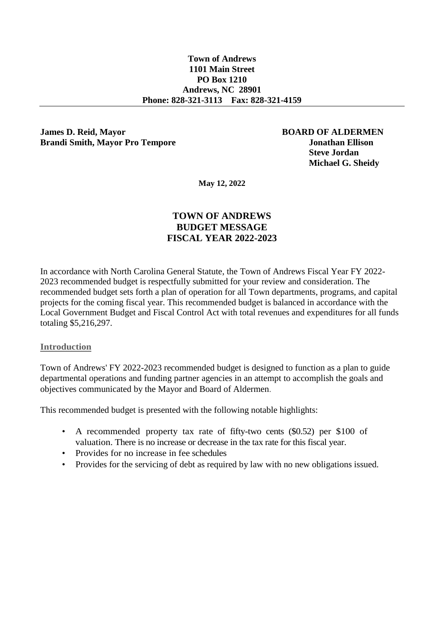#### **Town of Andrews 1101 Main Street PO Box 1210 Andrews, NC 28901 Phone: 828-321-3113 Fax: 828-321-4159**

#### **James D. Reid, Mayor BOARD OF ALDERMEN Brandi Smith, Mayor Pro Tempore Jonathan Ellison**

 **Steve Jordan Michael G. Sheidy**

**May 12, 2022**

## **TOWN OF ANDREWS BUDGET MESSAGE FISCAL YEAR 2022-2023**

In accordance with North Carolina General Statute, the Town of Andrews Fiscal Year FY 2022- 2023 recommended budget is respectfully submitted for your review and consideration. The recommended budget sets forth a plan of operation for all Town departments, programs, and capital projects for the coming fiscal year. This recommended budget is balanced in accordance with the Local Government Budget and Fiscal Control Act with total revenues and expenditures for all funds totaling \$5,216,297.

#### **Introduction**

Town of Andrews' FY 2022-2023 recommended budget is designed to function as a plan to guide departmental operations and funding partner agencies in an attempt to accomplish the goals and objectives communicated by the Mayor and Board of Aldermen.

This recommended budget is presented with the following notable highlights:

- A recommended property tax rate of fifty-two cents (\$0.52) per \$100 of valuation. There is no increase or decrease in the tax rate for this fiscal year.
- Provides for no increase in fee schedules
- Provides for the servicing of debt as required by law with no new obligations issued.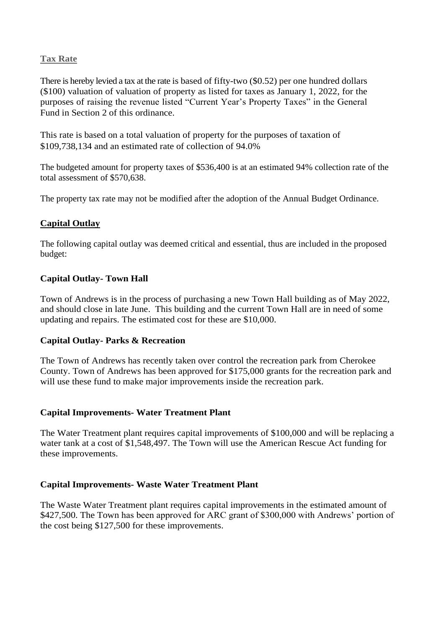## **Tax Rate**

There is hereby levied a tax at the rate is based of fifty-two (\$0.52) per one hundred dollars (\$100) valuation of valuation of property as listed for taxes as January 1, 2022, for the purposes of raising the revenue listed "Current Year's Property Taxes" in the General Fund in Section 2 of this ordinance.

This rate is based on a total valuation of property for the purposes of taxation of \$109,738,134 and an estimated rate of collection of 94.0%

The budgeted amount for property taxes of \$536,400 is at an estimated 94% collection rate of the total assessment of \$570,638.

The property tax rate may not be modified after the adoption of the Annual Budget Ordinance.

## **Capital Outlay**

The following capital outlay was deemed critical and essential, thus are included in the proposed budget:

## **Capital Outlay- Town Hall**

Town of Andrews is in the process of purchasing a new Town Hall building as of May 2022, and should close in late June. This building and the current Town Hall are in need of some updating and repairs. The estimated cost for these are \$10,000.

## **Capital Outlay- Parks & Recreation**

The Town of Andrews has recently taken over control the recreation park from Cherokee County. Town of Andrews has been approved for \$175,000 grants for the recreation park and will use these fund to make major improvements inside the recreation park.

## **Capital Improvements- Water Treatment Plant**

The Water Treatment plant requires capital improvements of \$100,000 and will be replacing a water tank at a cost of \$1,548,497. The Town will use the American Rescue Act funding for these improvements.

## **Capital Improvements- Waste Water Treatment Plant**

The Waste Water Treatment plant requires capital improvements in the estimated amount of \$427,500. The Town has been approved for ARC grant of \$300,000 with Andrews' portion of the cost being \$127,500 for these improvements.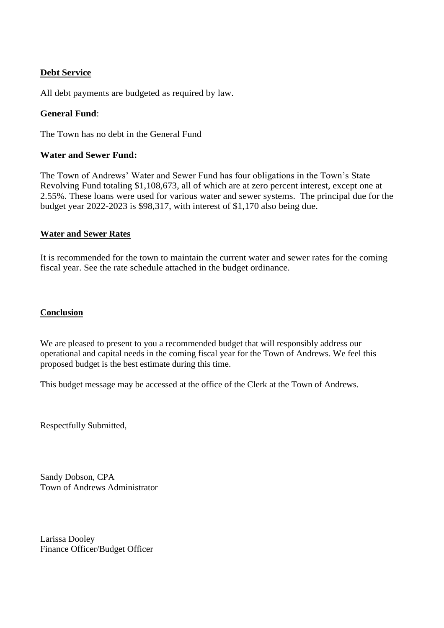## **Debt Service**

All debt payments are budgeted as required by law.

## **General Fund**:

The Town has no debt in the General Fund

## **Water and Sewer Fund:**

The Town of Andrews' Water and Sewer Fund has four obligations in the Town's State Revolving Fund totaling \$1,108,673, all of which are at zero percent interest, except one at 2.55%. These loans were used for various water and sewer systems. The principal due for the budget year 2022-2023 is \$98,317, with interest of \$1,170 also being due.

## **Water and Sewer Rates**

It is recommended for the town to maintain the current water and sewer rates for the coming fiscal year. See the rate schedule attached in the budget ordinance.

#### **Conclusion**

We are pleased to present to you a recommended budget that will responsibly address our operational and capital needs in the coming fiscal year for the Town of Andrews. We feel this proposed budget is the best estimate during this time.

This budget message may be accessed at the office of the Clerk at the Town of Andrews.

Respectfully Submitted,

Sandy Dobson, CPA Town of Andrews Administrator

Larissa Dooley Finance Officer/Budget Officer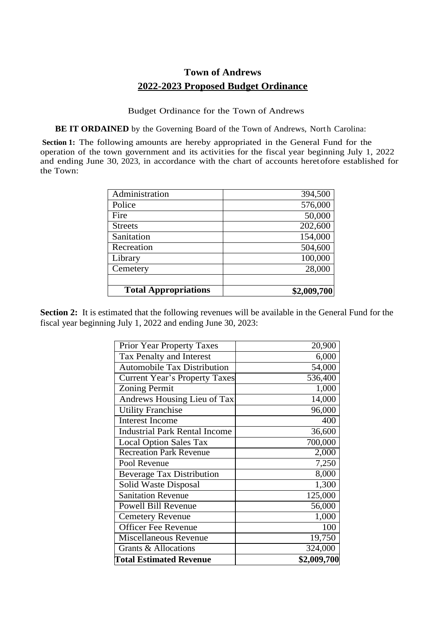# **Town of Andrews 2022-2023 Proposed Budget Ordinance**

Budget Ordinance for the Town of Andrews

**BE IT ORDAINED** by the Governing Board of the Town of Andrews, North Carolina:

**Section 1:** The following amounts are hereby appropriated in the General Fund for the operation of the town government and its activities for the fiscal year beginning July 1, 2022 and ending June 30, 2023, in accordance with the chart of accounts heretofore established for the Town:

| <b>Total Appropriations</b> | \$2,009,700 |
|-----------------------------|-------------|
|                             |             |
| Cemetery                    | 28,000      |
| Library                     | 100,000     |
| Recreation                  | 504,600     |
| Sanitation                  | 154,000     |
| <b>Streets</b>              | 202,600     |
| Fire                        | 50,000      |
| Police                      | 576,000     |
| Administration              | 394,500     |

**Section 2:** It is estimated that the following revenues will be available in the General Fund for the fiscal year beginning July 1, 2022 and ending June 30, 2023:

| <b>Total Estimated Revenue</b>       | \$2,009,700 |
|--------------------------------------|-------------|
| Grants & Allocations                 | 324,000     |
| <b>Miscellaneous Revenue</b>         | 19,750      |
| <b>Officer Fee Revenue</b>           | 100         |
| <b>Cemetery Revenue</b>              | 1,000       |
| <b>Powell Bill Revenue</b>           | 56,000      |
| <b>Sanitation Revenue</b>            | 125,000     |
| Solid Waste Disposal                 | 1,300       |
| <b>Beverage Tax Distribution</b>     | 8,000       |
| Pool Revenue                         | 7,250       |
| <b>Recreation Park Revenue</b>       | 2,000       |
| <b>Local Option Sales Tax</b>        | 700,000     |
| <b>Industrial Park Rental Income</b> | 36,600      |
| <b>Interest Income</b>               | 400         |
| <b>Utility Franchise</b>             | 96,000      |
| Andrews Housing Lieu of Tax          | 14,000      |
| <b>Zoning Permit</b>                 | 1,000       |
| <b>Current Year's Property Taxes</b> | 536,400     |
| <b>Automobile Tax Distribution</b>   | 54,000      |
| Tax Penalty and Interest             | 6,000       |
| <b>Prior Year Property Taxes</b>     | 20,900      |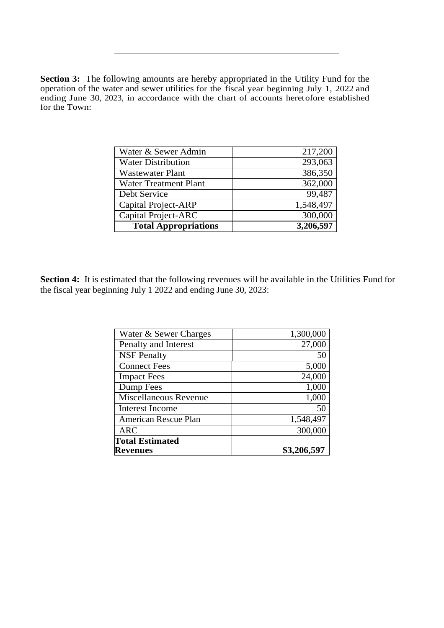**Section 3:** The following amounts are hereby appropriated in the Utility Fund for the operation of the water and sewer utilities for the fiscal year beginning July 1, 2022 and ending June 30, 2023, in accordance with the chart of accounts heretofore established for the Town:

| Water & Sewer Admin          | 217,200   |
|------------------------------|-----------|
| <b>Water Distribution</b>    | 293,063   |
| <b>Wastewater Plant</b>      | 386,350   |
| <b>Water Treatment Plant</b> | 362,000   |
| Debt Service                 | 99,487    |
| <b>Capital Project-ARP</b>   | 1,548,497 |
| Capital Project-ARC          | 300,000   |
| <b>Total Appropriations</b>  | 3,206,597 |

Section 4: It is estimated that the following revenues will be available in the Utilities Fund for the fiscal year beginning July 1 2022 and ending June 30, 2023:

| <b>Revenues</b>        | \$3,206,597 |
|------------------------|-------------|
| <b>Total Estimated</b> |             |
| <b>ARC</b>             | 300,000     |
| American Rescue Plan   | 1,548,497   |
| <b>Interest Income</b> | 50          |
| Miscellaneous Revenue  | 1,000       |
| Dump Fees              | 1,000       |
| <b>Impact Fees</b>     | 24,000      |
| <b>Connect Fees</b>    | 5,000       |
| <b>NSF Penalty</b>     | 50          |
| Penalty and Interest   | 27,000      |
| Water & Sewer Charges  | 1,300,000   |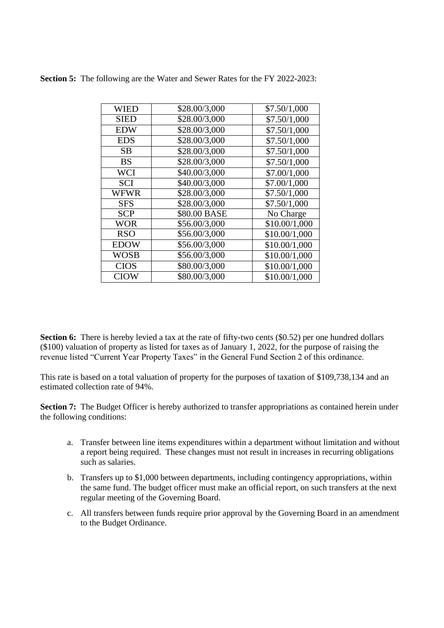| WIED        | \$28.00/3,000 | \$7.50/1,000  |
|-------------|---------------|---------------|
| <b>SIED</b> | \$28.00/3,000 | \$7.50/1,000  |
| <b>EDW</b>  | \$28.00/3,000 | \$7.50/1,000  |
| <b>EDS</b>  | \$28.00/3,000 | \$7.50/1,000  |
| SB          | \$28.00/3,000 | \$7.50/1,000  |
| BS          | \$28.00/3,000 | \$7.50/1,000  |
| WCI         | \$40.00/3,000 | \$7.00/1,000  |
| <b>SCI</b>  | \$40.00/3,000 | \$7.00/1,000  |
| WFWR        | \$28.00/3,000 | \$7.50/1,000  |
| <b>SFS</b>  | \$28.00/3,000 | \$7.50/1,000  |
| <b>SCP</b>  | \$80.00 BASE  | No Charge     |
| WOR         | \$56.00/3,000 | \$10.00/1,000 |
| RSO         | \$56.00/3,000 | \$10.00/1,000 |
| <b>EDOW</b> | \$56.00/3,000 | \$10.00/1,000 |
| <b>WOSB</b> | \$56.00/3,000 | \$10.00/1,000 |
| <b>CIOS</b> | \$80.00/3,000 | \$10.00/1,000 |
| CIOW        | \$80.00/3,000 | \$10.00/1,000 |

**Section 5:** The following are the Water and Sewer Rates for the FY 2022-2023:

**Section 6:** There is hereby levied a tax at the rate of fifty-two cents (\$0.52) per one hundred dollars (\$100) valuation of property as listed for taxes as of January 1, 2022, for the purpose of raising the revenue listed "Current Year Property Taxes" in the General Fund Section 2 of this ordinance.

This rate is based on a total valuation of property for the purposes of taxation of \$109,738,134 and an estimated collection rate of 94%.

**Section 7:** The Budget Officer is hereby authorized to transfer appropriations as contained herein under the following conditions:

- a. Transfer between line items expenditures within a department without limitation and without a report being required. These changes must not result in increases in recurring obligations such as salaries.
- b. Transfers up to \$1,000 between departments, including contingency appropriations, within the same fund. The budget officer must make an official report, on such transfers at the next regular meeting of the Governing Board.
- c. All transfers between funds require prior approval by the Governing Board in an amendment to the Budget Ordinance.